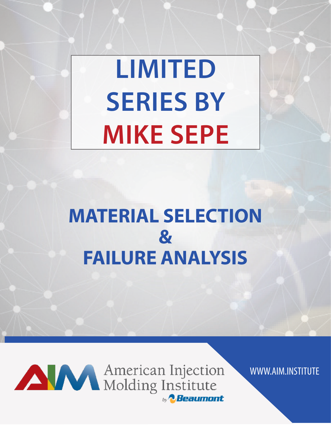# **LIMITED SERIES BY MIKE SEPE**

# **MATERIAL SELECTION & FAILURE ANALYSIS**



AMERICA American Injection by **2.Beaumont** 

WWW.AIM.INSTITUTE